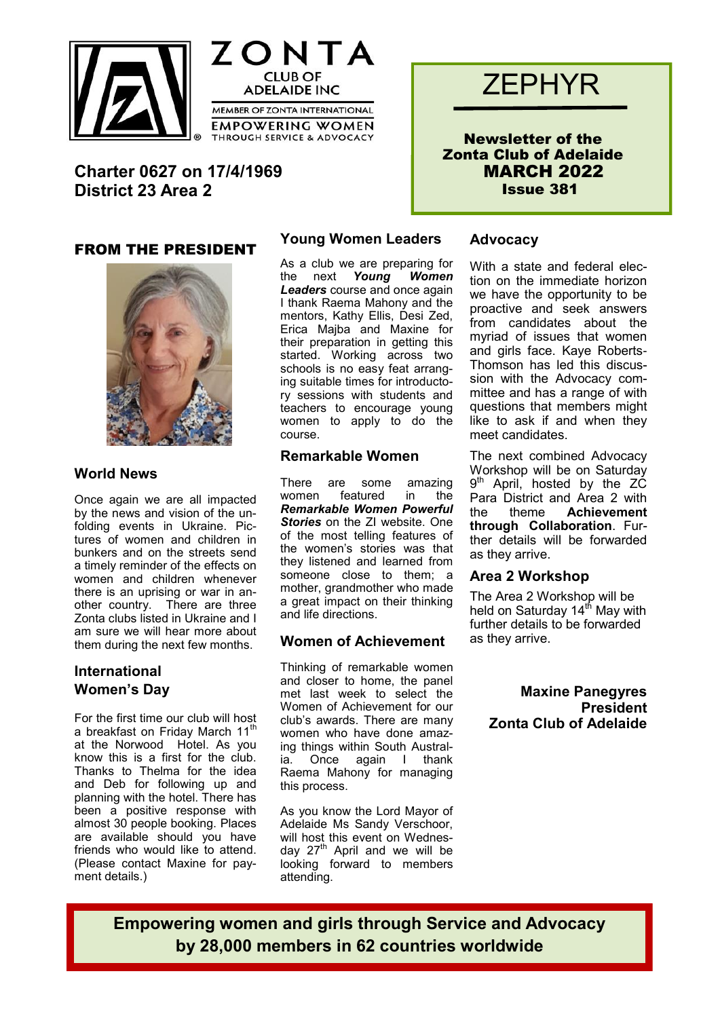



**Charter 0627 on 17/4/1969 District 23 Area 2**

#### FROM THE PRESIDENT



#### **World News**

Once again we are all impacted by the news and vision of the unfolding events in Ukraine. Pictures of women and children in bunkers and on the streets send a timely reminder of the effects on women and children whenever there is an uprising or war in another country. There are three Zonta clubs listed in Ukraine and I am sure we will hear more about them during the next few months.

### **International Women's Day**

For the first time our club will host a breakfast on Friday March 11<sup>th</sup> at the Norwood Hotel. As you know this is a first for the club. Thanks to Thelma for the idea and Deb for following up and planning with the hotel. There has been a positive response with almost 30 people booking. Places are available should you have friends who would like to attend. (Please contact Maxine for payment details.)

### **Young Women Leaders**

As a club we are preparing for the next *Young Women Leaders* course and once again I thank Raema Mahony and the mentors, Kathy Ellis, Desi Zed, Erica Majba and Maxine for their preparation in getting this started. Working across two schools is no easy feat arranging suitable times for introductory sessions with students and teachers to encourage young women to apply to do the course.

#### **Remarkable Women**

There are some amazing women featured in the *Remarkable Women Powerful Stories* on the ZI website. One of the most telling features of the women's stories was that they listened and learned from someone close to them; a mother, grandmother who made a great impact on their thinking and life directions.

#### **Women of Achievement**

Thinking of remarkable women and closer to home, the panel met last week to select the Women of Achievement for our club's awards. There are many women who have done amazing things within South Australia. Once again I thank Raema Mahony for managing this process.

As you know the Lord Mayor of Adelaide Ms Sandy Verschoor, will host this event on Wednesday 27<sup>th</sup> April and we will be looking forward to members attending.

# **ZEPHYR**

Newsletter of the Zonta Club of Adelaide MARCH 2022 Issue 381

#### **Advocacy**

With a state and federal election on the immediate horizon we have the opportunity to be proactive and seek answers from candidates about the myriad of issues that women and girls face. Kaye Roberts-Thomson has led this discussion with the Advocacy committee and has a range of with questions that members might like to ask if and when they meet candidates.

The next combined Advocacy Workshop will be on Saturday 9<sup>th</sup> April, hosted by the ZC Para District and Area 2 with the theme **Achievement through Collaboration**. Further details will be forwarded as they arrive.

#### **Area 2 Workshop**

The Area 2 Workshop will be held on Saturday  $14<sup>th</sup>$  May with further details to be forwarded as they arrive.

> **Maxine Panegyres President Zonta Club of Adelaide**

**Empowering women and girls through Service and Advocacy by 28,000 members in 62 countries worldwide**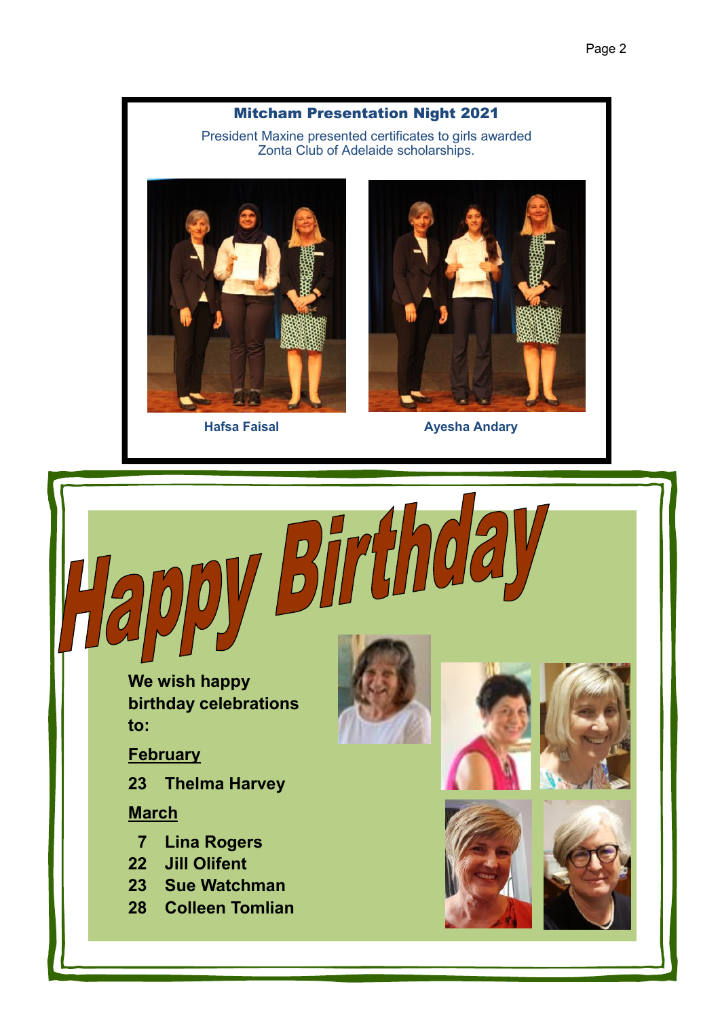## Mitcham Presentation Night 2021

President Maxine presented certificates to girls awarded Zonta Club of Adelaide scholarships.

Birth





**Hafsa Faisal Ayesha Andary**

 **We wish happy birthday celebrations to:**

**February**

L<br>N

**23 Thelma Harvey**

**March**

- **7 Lina Rogers**
- **22 Jill Olifent**
- **23 Sue Watchman**
- **28 Colleen Tomlian**







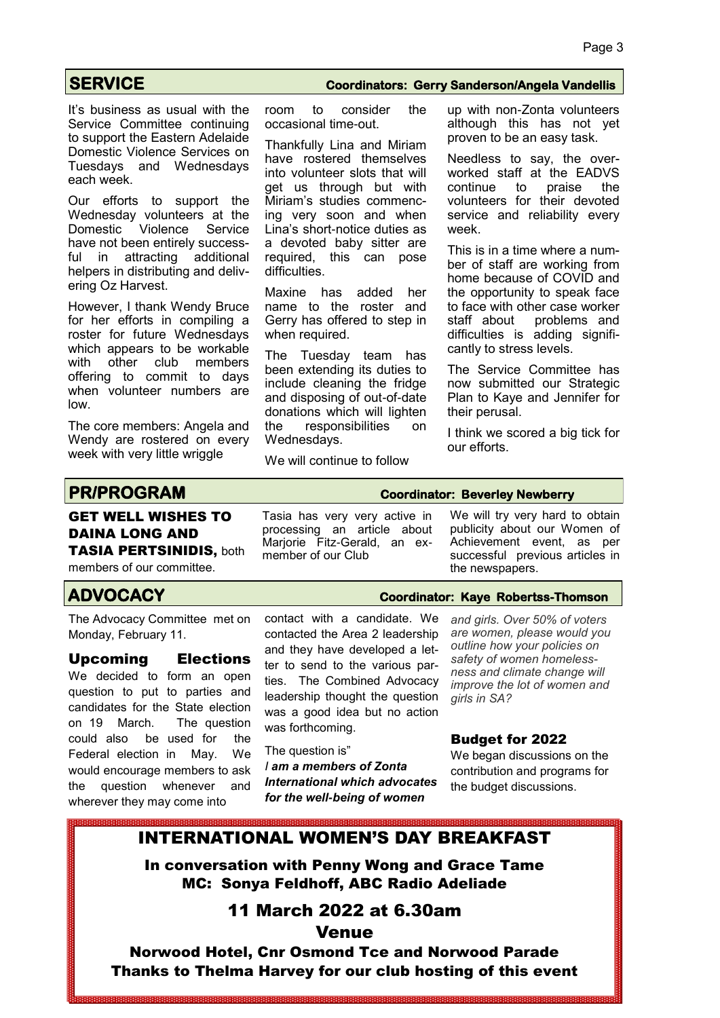It's business as usual with the Service Committee continuing to support the Eastern Adelaide Domestic Violence Services on Tuesdays and Wednesdays each week.

Our efforts to support the Wednesday volunteers at the Domestic Violence Service have not been entirely successful in attracting additional helpers in distributing and delivering Oz Harvest.

However, I thank Wendy Bruce for her efforts in compiling a roster for future Wednesdays which appears to be workable with other club members offering to commit to days when volunteer numbers are low.

The core members: Angela and Wendy are rostered on every week with very little wriggle

#### **SERVICE Coordinators: Gerry Sanderson/Angela Vandellis**

room to consider the occasional time-out.

Thankfully Lina and Miriam have rostered themselves into volunteer slots that will get us through but with Miriam's studies commencing very soon and when Lina's short-notice duties as a devoted baby sitter are required, this can pose difficulties.

Maxine has added her name to the roster and Gerry has offered to step in when required.

The Tuesday team has been extending its duties to include cleaning the fridge and disposing of out-of-date donations which will lighten the responsibilities on Wednesdays.

We will continue to follow

up with non-Zonta volunteers although this has not yet proven to be an easy task.

Needless to say, the overworked staff at the EADVS<br>continue to praise the continue to praise the volunteers for their devoted service and reliability every week.

This is in a time where a number of staff are working from home because of COVID and the opportunity to speak face to face with other case worker staff about problems and difficulties is adding significantly to stress levels.

The Service Committee has now submitted our Strategic Plan to Kaye and Jennifer for their perusal.

I think we scored a big tick for our efforts.

#### GET WELL WISHES TO DAINA LONG AND TASIA PERTSINIDIS, both

members of our committee.

## **ADVOCACY Coordinator: Kaye Robertss-Thomson**

The Advocacy Committee met on Monday, February 11.

Upcoming Elections

We decided to form an open question to put to parties and candidates for the State election on 19 March. The question could also be used for the Federal election in May. We would encourage members to ask the question whenever and wherever they may come into

Tasia has very very active in processing an article about Marjorie Fitz-Gerald, an exmember of our Club

We will try very hard to obtain publicity about our Women of Achievement event, as per successful previous articles in the newspapers.

contact with a candidate. We contacted the Area 2 leadership and they have developed a letter to send to the various parties. The Combined Advocacy *and girls. Over 50% of voters are women, please would you outline how your policies on safety of women homelessness and climate change will* 

*girls in SA?*

#### Budget for 2022

The question is" *I am a members of Zonta International which advocates for the well-being of women* 

We began discussions on the contribution and programs for the budget discussions.

*improve the lot of women and* 

## INTERNATIONAL WOMEN'S DAY BREAKFAST

leadership thought the question was a good idea but no action

was forthcoming.

In conversation with Penny Wong and Grace Tame MC: Sonya Feldhoff, ABC Radio Adeliade

## 11 March 2022 at 6.30am

Venue

Norwood Hotel, Cnr Osmond Tce and Norwood Parade Thanks to Thelma Harvey for our club hosting of this event

# **PR/PROGRAM Coordinator: Beverley Newberry**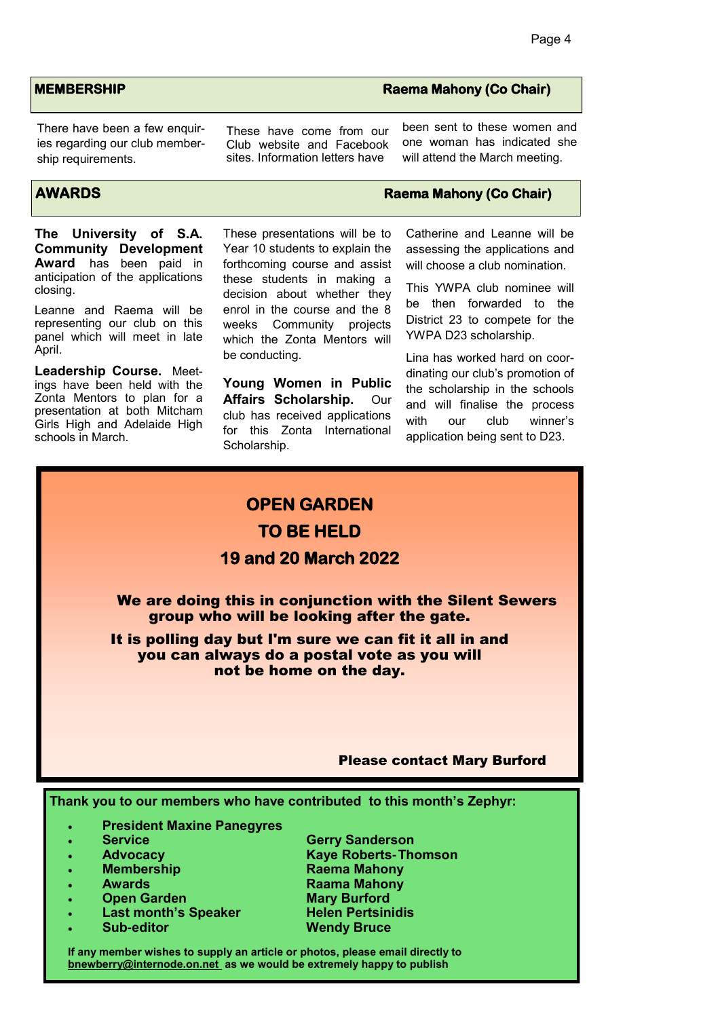There have been a few enquiries regarding our club membership requirements.

**The University of S.A. Community Development Award** has been paid in anticipation of the applications closing.

Leanne and Raema will be representing our club on this panel which will meet in late April.

**Leadership Course.** Meetings have been held with the Zonta Mentors to plan for a presentation at both Mitcham Girls High and Adelaide High schools in March.

These have come from our Club website and Facebook sites. Information letters have

These presentations will be to Year 10 students to explain the forthcoming course and assist these students in making a decision about whether they enrol in the course and the 8 weeks Community projects which the Zonta Mentors will

**Young Women in Public Affairs Scholarship.** Our club has received applications for this Zonta International

**OPEN GARDEN** 

**TO BE HELD** 

be conducting.

Scholarship.

#### **AWARDS Raema Mahony (Co Chair)**

Catherine and Leanne will be assessing the applications and will choose a club nomination.

This YWPA club nominee will be then forwarded to the District 23 to compete for the YWPA D23 scholarship.

Lina has worked hard on coordinating our club's promotion of the scholarship in the schools and will finalise the process with our club winner's application being sent to D23.

# **19 and 20 March 2022**  We are doing this in conjunction with the Silent Sewers group who will be looking after the gate. It is polling day but I'm sure we can fit it all in and you can always do a postal vote as you will not be home on the day. Please contact Mary Burford **Thank you to our members who have contributed to this month's Zephyr:**

- **President Maxine Panegyres**
- 
- 
- 
- 
- 
- 
- 

 **Service Gerry Sanderson Advocacy Kaye Roberts-Thomson Membership Raema Mahony Awards Raama Mahony Open Garden Mary Burford Last month's Speaker Helen Pertsinidis Sub-editor Wendy Bruce**

**If any member wishes to supply an article or photos, please email directly to bnewberry@internode.on.net as we would be extremely happy to publish** 

#### **MEMBERSHIP Raema Mahony (Co Chair) Raema Mahony (Co Chair)**

been sent to these women and one woman has indicated she will attend the March meeting.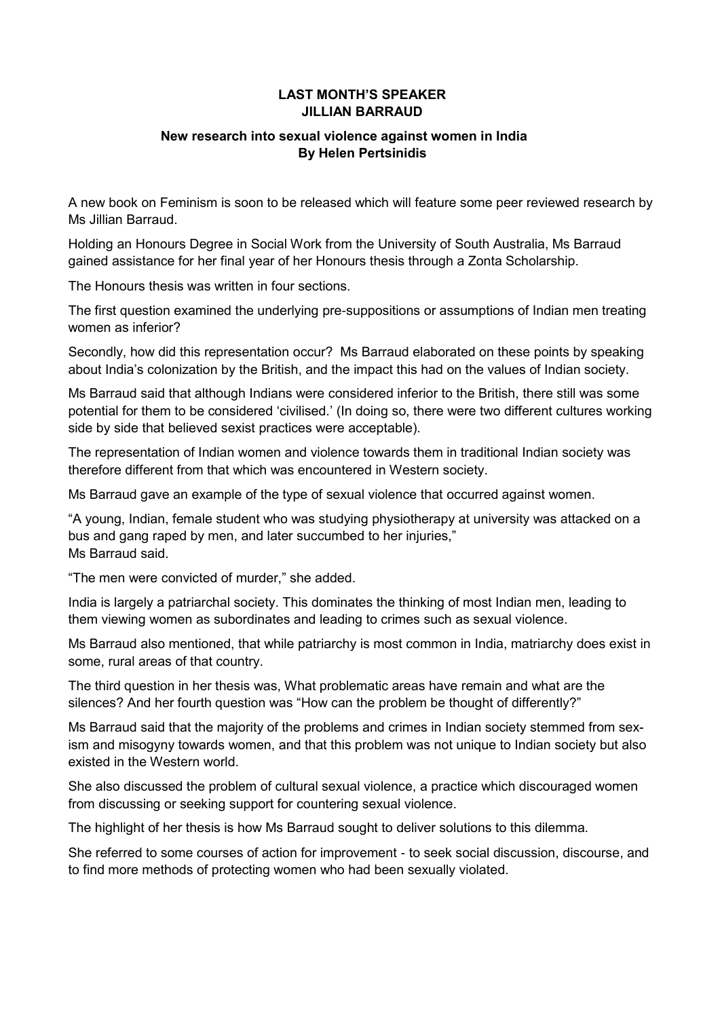#### **LAST MONTH'S SPEAKER JILLIAN BARRAUD**

#### **New research into sexual violence against women in India By Helen Pertsinidis**

A new book on Feminism is soon to be released which will feature some peer reviewed research by Ms Jillian Barraud.

Holding an Honours Degree in Social Work from the University of South Australia, Ms Barraud gained assistance for her final year of her Honours thesis through a Zonta Scholarship.

The Honours thesis was written in four sections.

The first question examined the underlying pre-suppositions or assumptions of Indian men treating women as inferior?

Secondly, how did this representation occur? Ms Barraud elaborated on these points by speaking about India's colonization by the British, and the impact this had on the values of Indian society.

Ms Barraud said that although Indians were considered inferior to the British, there still was some potential for them to be considered 'civilised.' (In doing so, there were two different cultures working side by side that believed sexist practices were acceptable).

The representation of Indian women and violence towards them in traditional Indian society was therefore different from that which was encountered in Western society.

Ms Barraud gave an example of the type of sexual violence that occurred against women.

"A young, Indian, female student who was studying physiotherapy at university was attacked on a bus and gang raped by men, and later succumbed to her injuries," Ms Barraud said.

"The men were convicted of murder," she added.

India is largely a patriarchal society. This dominates the thinking of most Indian men, leading to them viewing women as subordinates and leading to crimes such as sexual violence.

Ms Barraud also mentioned, that while patriarchy is most common in India, matriarchy does exist in some, rural areas of that country.

The third question in her thesis was, What problematic areas have remain and what are the silences? And her fourth question was "How can the problem be thought of differently?"

Ms Barraud said that the majority of the problems and crimes in Indian society stemmed from sexism and misogyny towards women, and that this problem was not unique to Indian society but also existed in the Western world.

She also discussed the problem of cultural sexual violence, a practice which discouraged women from discussing or seeking support for countering sexual violence.

The highlight of her thesis is how Ms Barraud sought to deliver solutions to this dilemma.

She referred to some courses of action for improvement - to seek social discussion, discourse, and to find more methods of protecting women who had been sexually violated.